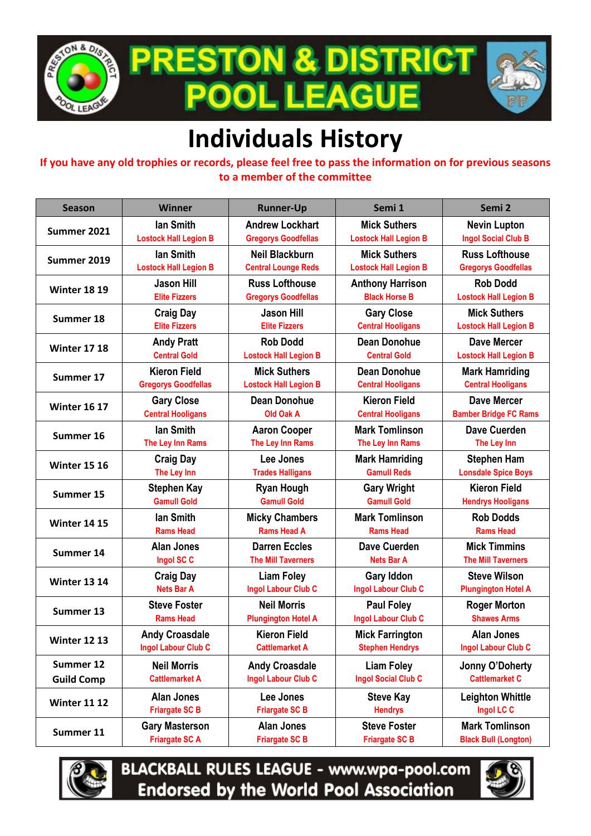

**PRESTON & DISTRICT** POOL LEAGUE



## **Individuals History**

**If you have any old trophies or records, please feel free to pass the information on for previous seasons to a member of the committee**

| <b>Season</b>       | <b>Winner</b>                | <b>Runner-Up</b>             | Semi 1                       | Semi <sub>2</sub>            |
|---------------------|------------------------------|------------------------------|------------------------------|------------------------------|
| Summer 2021         | lan Smith                    | <b>Andrew Lockhart</b>       | <b>Mick Suthers</b>          | <b>Nevin Lupton</b>          |
|                     | <b>Lostock Hall Legion B</b> | <b>Gregorys Goodfellas</b>   | <b>Lostock Hall Legion B</b> | <b>Ingol Social Club B</b>   |
| Summer 2019         | lan Smith                    | <b>Neil Blackburn</b>        | <b>Mick Suthers</b>          | <b>Russ Lofthouse</b>        |
|                     | <b>Lostock Hall Legion B</b> | <b>Central Lounge Reds</b>   | <b>Lostock Hall Legion B</b> | <b>Gregorys Goodfellas</b>   |
| <b>Winter 18 19</b> | <b>Jason Hill</b>            | <b>Russ Lofthouse</b>        | <b>Anthony Harrison</b>      | <b>Rob Dodd</b>              |
|                     | <b>Elite Fizzers</b>         | <b>Gregorys Goodfellas</b>   | <b>Black Horse B</b>         | <b>Lostock Hall Legion B</b> |
| Summer 18           | <b>Craig Day</b>             | <b>Jason Hill</b>            | <b>Gary Close</b>            | <b>Mick Suthers</b>          |
|                     | <b>Elite Fizzers</b>         | <b>Elite Fizzers</b>         | <b>Central Hooligans</b>     | <b>Lostock Hall Legion B</b> |
| <b>Winter 17 18</b> | <b>Andy Pratt</b>            | <b>Rob Dodd</b>              | <b>Dean Donohue</b>          | <b>Dave Mercer</b>           |
|                     | <b>Central Gold</b>          | <b>Lostock Hall Legion B</b> | <b>Central Gold</b>          | <b>Lostock Hall Legion B</b> |
| Summer 17           | <b>Kieron Field</b>          | <b>Mick Suthers</b>          | <b>Dean Donohue</b>          | <b>Mark Hamriding</b>        |
|                     | <b>Gregorys Goodfellas</b>   | <b>Lostock Hall Legion B</b> | <b>Central Hooligans</b>     | <b>Central Hooligans</b>     |
| <b>Winter 16 17</b> | <b>Gary Close</b>            | <b>Dean Donohue</b>          | <b>Kieron Field</b>          | <b>Dave Mercer</b>           |
|                     | <b>Central Hooligans</b>     | Old Oak A                    | <b>Central Hooligans</b>     | <b>Bamber Bridge FC Rams</b> |
| Summer 16           | lan Smith                    | <b>Aaron Cooper</b>          | <b>Mark Tomlinson</b>        | <b>Dave Cuerden</b>          |
|                     | The Ley Inn Rams             | The Ley Inn Rams             | The Ley Inn Rams             | The Ley Inn                  |
| <b>Winter 15 16</b> | <b>Craig Day</b>             | Lee Jones                    | <b>Mark Hamriding</b>        | <b>Stephen Ham</b>           |
|                     | The Ley Inn                  | <b>Trades Halligans</b>      | <b>Gamull Reds</b>           | <b>Lonsdale Spice Boys</b>   |
| Summer 15           | <b>Stephen Kay</b>           | <b>Ryan Hough</b>            | <b>Gary Wright</b>           | <b>Kieron Field</b>          |
|                     | <b>Gamull Gold</b>           | <b>Gamull Gold</b>           | <b>Gamull Gold</b>           | <b>Hendrys Hooligans</b>     |
| <b>Winter 14 15</b> | lan Smith                    | <b>Micky Chambers</b>        | <b>Mark Tomlinson</b>        | <b>Rob Dodds</b>             |
|                     | <b>Rams Head</b>             | <b>Rams Head A</b>           | <b>Rams Head</b>             | <b>Rams Head</b>             |
| Summer 14           | <b>Alan Jones</b>            | <b>Darren Eccles</b>         | <b>Dave Cuerden</b>          | <b>Mick Timmins</b>          |
|                     | Ingol SC C                   | <b>The Mill Taverners</b>    | <b>Nets Bar A</b>            | <b>The Mill Taverners</b>    |
| <b>Winter 13 14</b> | <b>Craig Day</b>             | <b>Liam Foley</b>            | <b>Gary Iddon</b>            | <b>Steve Wilson</b>          |
|                     | <b>Nets Bar A</b>            | <b>Ingol Labour Club C</b>   | <b>Ingol Labour Club C</b>   | <b>Plungington Hotel A</b>   |
| Summer 13           | <b>Steve Foster</b>          | <b>Neil Morris</b>           | <b>Paul Foley</b>            | <b>Roger Morton</b>          |
|                     | <b>Rams Head</b>             | <b>Plungington Hotel A</b>   | Ingol Labour Club C          | <b>Shawes Arms</b>           |
| <b>Winter 12 13</b> | <b>Andy Croasdale</b>        | <b>Kieron Field</b>          | <b>Mick Farrington</b>       | <b>Alan Jones</b>            |
|                     | Ingol Labour Club C          | <b>Cattlemarket A</b>        | <b>Stephen Hendrys</b>       | <b>Ingol Labour Club C</b>   |
| Summer 12           | <b>Neil Morris</b>           | <b>Andy Croasdale</b>        | <b>Liam Foley</b>            | Jonny O'Doherty              |
| <b>Guild Comp</b>   | <b>Cattlemarket A</b>        | <b>Ingol Labour Club C</b>   | <b>Ingol Social Club C</b>   | <b>Cattlemarket C</b>        |
| <b>Winter 11 12</b> | <b>Alan Jones</b>            | Lee Jones                    | <b>Steve Kay</b>             | <b>Leighton Whittle</b>      |
|                     | <b>Friargate SC B</b>        | <b>Friargate SC B</b>        | <b>Hendrys</b>               | Ingol LC C                   |
| Summer 11           | <b>Gary Masterson</b>        | <b>Alan Jones</b>            | <b>Steve Foster</b>          | <b>Mark Tomlinson</b>        |
|                     | <b>Friargate SCA</b>         | <b>Friargate SC B</b>        | <b>Friargate SC B</b>        | <b>Black Bull (Longton)</b>  |



**BLACKBALL RULES LEAGUE - www.wpa-pool.com Endorsed by the World Pool Association** 

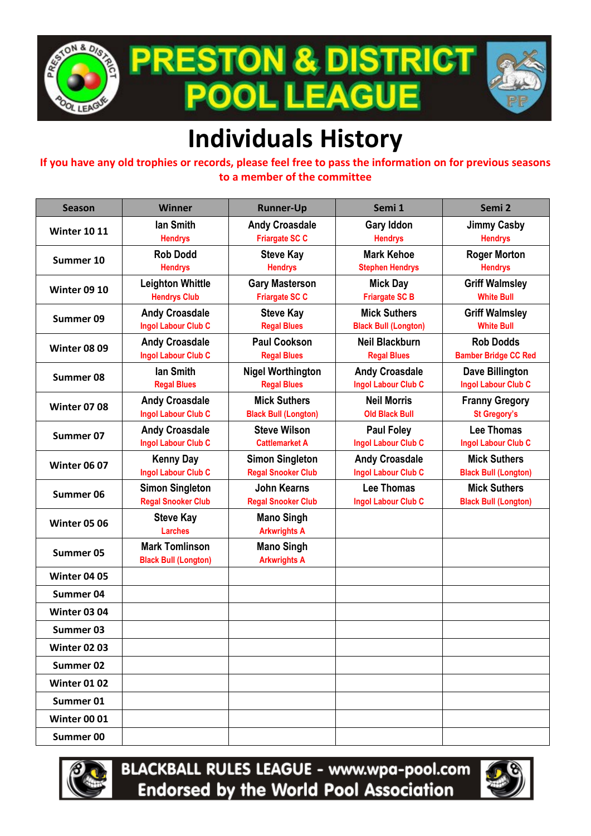

**PRESTON & DISTRICT . LEAGUE POOI** 



## **Individuals History**

**If you have any old trophies or records, please feel free to pass the information on for previous seasons to a member of the committee**

| <b>Season</b>       | <b>Winner</b>                                        | <b>Runner-Up</b>                                    | Semi 1                                              | Semi 2                                             |
|---------------------|------------------------------------------------------|-----------------------------------------------------|-----------------------------------------------------|----------------------------------------------------|
| <b>Winter 10 11</b> | lan Smith<br><b>Hendrys</b>                          | <b>Andy Croasdale</b><br><b>Friargate SC C</b>      | <b>Gary Iddon</b><br><b>Hendrys</b>                 | <b>Jimmy Casby</b><br><b>Hendrys</b>               |
| Summer 10           | <b>Rob Dodd</b><br><b>Hendrys</b>                    | <b>Steve Kay</b><br><b>Hendrys</b>                  | <b>Mark Kehoe</b><br><b>Stephen Hendrys</b>         | <b>Roger Morton</b><br><b>Hendrys</b>              |
| <b>Winter 09 10</b> | <b>Leighton Whittle</b><br><b>Hendrys Club</b>       | <b>Gary Masterson</b><br><b>Friargate SC C</b>      | <b>Mick Day</b><br><b>Friargate SC B</b>            | <b>Griff Walmsley</b><br><b>White Bull</b>         |
| Summer 09           | <b>Andy Croasdale</b><br><b>Ingol Labour Club C</b>  | <b>Steve Kay</b><br><b>Regal Blues</b>              | <b>Mick Suthers</b><br><b>Black Bull (Longton)</b>  | <b>Griff Walmsley</b><br><b>White Bull</b>         |
| <b>Winter 08 09</b> | <b>Andy Croasdale</b><br>Ingol Labour Club C         | <b>Paul Cookson</b><br><b>Regal Blues</b>           | <b>Neil Blackburn</b><br><b>Regal Blues</b>         | <b>Rob Dodds</b><br><b>Bamber Bridge CC Red</b>    |
| Summer 08           | lan Smith<br><b>Regal Blues</b>                      | <b>Nigel Worthington</b><br><b>Regal Blues</b>      | <b>Andy Croasdale</b><br><b>Ingol Labour Club C</b> | Dave Billington<br><b>Ingol Labour Club C</b>      |
| <b>Winter 07 08</b> | <b>Andy Croasdale</b><br><b>Ingol Labour Club C</b>  | <b>Mick Suthers</b><br><b>Black Bull (Longton)</b>  | <b>Neil Morris</b><br><b>Old Black Bull</b>         | <b>Franny Gregory</b><br><b>St Gregory's</b>       |
| Summer 07           | <b>Andy Croasdale</b><br><b>Ingol Labour Club C</b>  | <b>Steve Wilson</b><br><b>Cattlemarket A</b>        | <b>Paul Foley</b><br>Ingol Labour Club C            | Lee Thomas<br><b>Ingol Labour Club C</b>           |
| <b>Winter 06 07</b> | <b>Kenny Day</b><br><b>Ingol Labour Club C</b>       | <b>Simon Singleton</b><br><b>Regal Snooker Club</b> | <b>Andy Croasdale</b><br><b>Ingol Labour Club C</b> | <b>Mick Suthers</b><br><b>Black Bull (Longton)</b> |
| Summer 06           | <b>Simon Singleton</b><br><b>Regal Snooker Club</b>  | John Kearns<br><b>Regal Snooker Club</b>            | Lee Thomas<br>Ingol Labour Club C                   | <b>Mick Suthers</b><br><b>Black Bull (Longton)</b> |
| <b>Winter 05 06</b> | <b>Steve Kay</b><br><b>Larches</b>                   | <b>Mano Singh</b><br><b>Arkwrights A</b>            |                                                     |                                                    |
| Summer 05           | <b>Mark Tomlinson</b><br><b>Black Bull (Longton)</b> | <b>Mano Singh</b><br><b>Arkwrights A</b>            |                                                     |                                                    |
| <b>Winter 04 05</b> |                                                      |                                                     |                                                     |                                                    |
| Summer 04           |                                                      |                                                     |                                                     |                                                    |
| <b>Winter 03 04</b> |                                                      |                                                     |                                                     |                                                    |
| Summer 03           |                                                      |                                                     |                                                     |                                                    |
| <b>Winter 02 03</b> |                                                      |                                                     |                                                     |                                                    |
| Summer 02           |                                                      |                                                     |                                                     |                                                    |
| <b>Winter 01 02</b> |                                                      |                                                     |                                                     |                                                    |
| Summer 01           |                                                      |                                                     |                                                     |                                                    |
| <b>Winter 00 01</b> |                                                      |                                                     |                                                     |                                                    |
| Summer 00           |                                                      |                                                     |                                                     |                                                    |



**BLACKBALL RULES LEAGUE - www.wpa-pool.com Endorsed by the World Pool Association** 

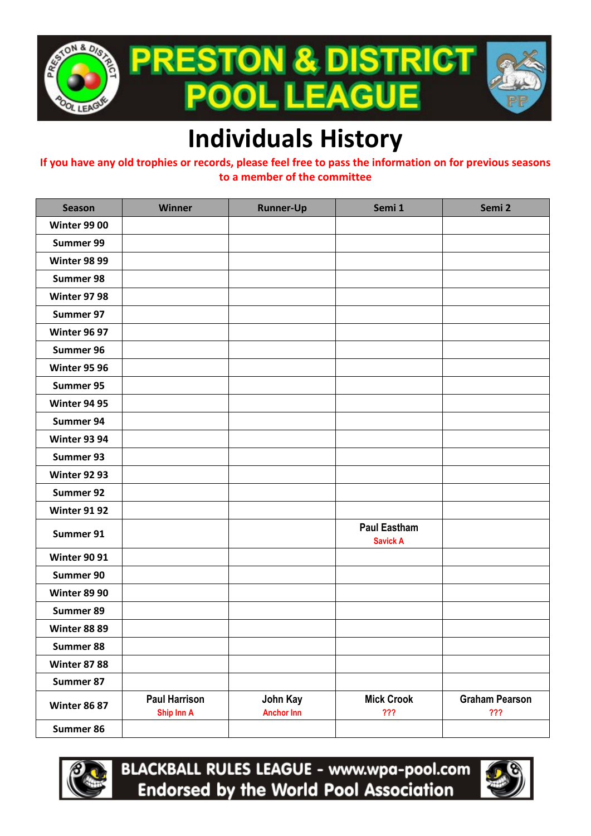

## **Individuals History**

**If you have any old trophies or records, please feel free to pass the information on for previous seasons to a member of the committee**

| <b>Season</b>       | <b>Winner</b>                      | <b>Runner-Up</b>              | Semi 1                                 | Semi 2                       |
|---------------------|------------------------------------|-------------------------------|----------------------------------------|------------------------------|
| <b>Winter 99 00</b> |                                    |                               |                                        |                              |
| Summer 99           |                                    |                               |                                        |                              |
| <b>Winter 98 99</b> |                                    |                               |                                        |                              |
| Summer 98           |                                    |                               |                                        |                              |
| <b>Winter 97 98</b> |                                    |                               |                                        |                              |
| Summer 97           |                                    |                               |                                        |                              |
| <b>Winter 96 97</b> |                                    |                               |                                        |                              |
| Summer 96           |                                    |                               |                                        |                              |
| <b>Winter 95 96</b> |                                    |                               |                                        |                              |
| Summer 95           |                                    |                               |                                        |                              |
| <b>Winter 94 95</b> |                                    |                               |                                        |                              |
| Summer 94           |                                    |                               |                                        |                              |
| <b>Winter 93 94</b> |                                    |                               |                                        |                              |
| Summer 93           |                                    |                               |                                        |                              |
| <b>Winter 92 93</b> |                                    |                               |                                        |                              |
| Summer 92           |                                    |                               |                                        |                              |
| <b>Winter 91 92</b> |                                    |                               |                                        |                              |
| Summer 91           |                                    |                               | <b>Paul Eastham</b><br><b>Savick A</b> |                              |
| <b>Winter 90 91</b> |                                    |                               |                                        |                              |
| Summer 90           |                                    |                               |                                        |                              |
| <b>Winter 89 90</b> |                                    |                               |                                        |                              |
| Summer 89           |                                    |                               |                                        |                              |
| <b>Winter 88 89</b> |                                    |                               |                                        |                              |
| Summer 88           |                                    |                               |                                        |                              |
| <b>Winter 87 88</b> |                                    |                               |                                        |                              |
| Summer 87           |                                    |                               |                                        |                              |
| <b>Winter 86 87</b> | <b>Paul Harrison</b><br>Ship Inn A | John Kay<br><b>Anchor Inn</b> | <b>Mick Crook</b><br>???               | <b>Graham Pearson</b><br>??? |
| Summer 86           |                                    |                               |                                        |                              |



**BLACKBALL RULES LEAGUE - www.wpa-pool.com Endorsed by the World Pool Association**